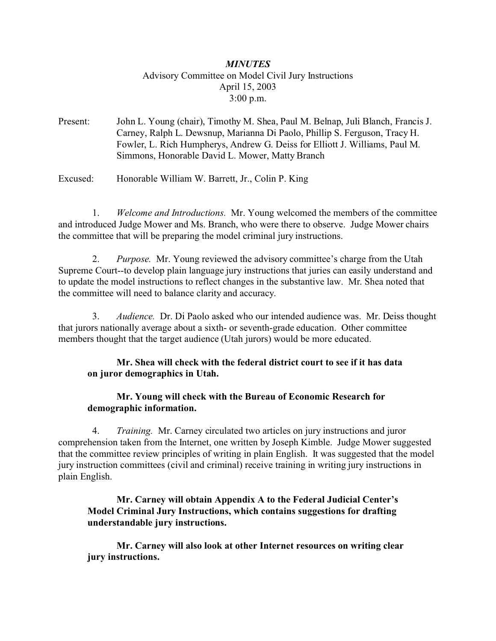# *MINUTES* Advisory Committee on Model Civil Jury Instructions April 15, 2003 3:00 p.m.

Present: John L. Young (chair), Timothy M. Shea, Paul M. Belnap, Juli Blanch, Francis J. Carney, Ralph L. Dewsnup, Marianna Di Paolo, Phillip S. Ferguson, Tracy H. Fowler, L. Rich Humpherys, Andrew G. Deiss for Elliott J. Williams, Paul M. Simmons, Honorable David L. Mower, Matty Branch

Excused: Honorable William W. Barrett, Jr., Colin P. King

 1. *Welcome and Introductions.* Mr. Young welcomed the members of the committee and introduced Judge Mower and Ms. Branch, who were there to observe. Judge Mower chairs the committee that will be preparing the model criminal jury instructions.

 2. *Purpose.* Mr. Young reviewed the advisory committee's charge from the Utah Supreme Court--to develop plain language jury instructions that juries can easily understand and to update the model instructions to reflect changes in the substantive law. Mr. Shea noted that the committee will need to balance clarity and accuracy.

 3. *Audience.* Dr. Di Paolo asked who our intended audience was. Mr. Deiss thought that jurors nationally average about a sixth- or seventh-grade education. Other committee members thought that the target audience (Utah jurors) would be more educated.

# **Mr. Shea will check with the federal district court to see if it has data on juror demographics in Utah.**

### **Mr. Young will check with the Bureau of Economic Research for demographic information.**

 4. *Training.* Mr. Carney circulated two articles on jury instructions and juror comprehension taken from the Internet, one written by Joseph Kimble. Judge Mower suggested that the committee review principles of writing in plain English. It was suggested that the model jury instruction committees (civil and criminal) receive training in writing jury instructions in plain English.

# **Mr. Carney will obtain Appendix A to the Federal Judicial Center's Model Criminal Jury Instructions, which contains suggestions for drafting understandable jury instructions.**

**Mr. Carney will also look at other Internet resources on writing clear jury instructions.**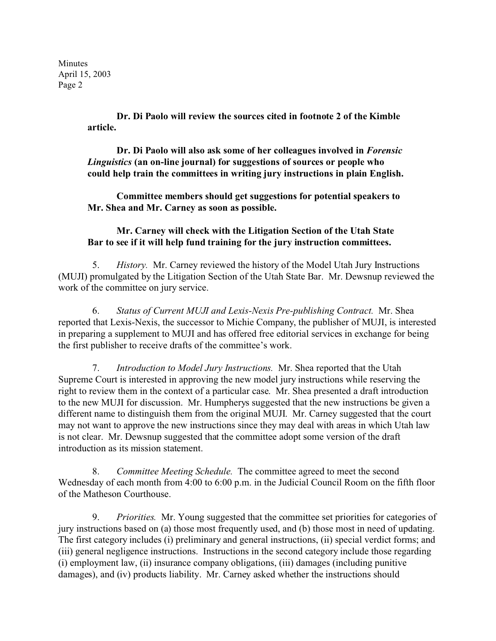Minutes April 15, 2003 Page 2

> **Dr. Di Paolo will review the sources cited in footnote 2 of the Kimble article.**

> **Dr. Di Paolo will also ask some of her colleagues involved in** *Forensic Linguistics* **(an on-line journal) for suggestions of sources or people who could help train the committees in writing jury instructions in plain English.**

> **Committee members should get suggestions for potential speakers to Mr. Shea and Mr. Carney as soon as possible.**

### **Mr. Carney will check with the Litigation Section of the Utah State Bar to see if it will help fund training for the jury instruction committees.**

 5. *History.* Mr. Carney reviewed the history of the Model Utah Jury Instructions (MUJI) promulgated by the Litigation Section of the Utah State Bar. Mr. Dewsnup reviewed the work of the committee on jury service.

 6. *Status of Current MUJI and Lexis-Nexis Pre-publishing Contract.* Mr. Shea reported that Lexis-Nexis, the successor to Michie Company, the publisher of MUJI, is interested in preparing a supplement to MUJI and has offered free editorial services in exchange for being the first publisher to receive drafts of the committee's work.

 7. *Introduction to Model Jury Instructions.* Mr. Shea reported that the Utah Supreme Court is interested in approving the new model jury instructions while reserving the right to review them in the context of a particular case. Mr. Shea presented a draft introduction to the new MUJI for discussion. Mr. Humpherys suggested that the new instructions be given a different name to distinguish them from the original MUJI. Mr. Carney suggested that the court may not want to approve the new instructions since they may deal with areas in which Utah law is not clear. Mr. Dewsnup suggested that the committee adopt some version of the draft introduction as its mission statement.

 8. *Committee Meeting Schedule.* The committee agreed to meet the second Wednesday of each month from 4:00 to 6:00 p.m. in the Judicial Council Room on the fifth floor of the Matheson Courthouse.

 9. *Priorities.* Mr. Young suggested that the committee set priorities for categories of jury instructions based on (a) those most frequently used, and (b) those most in need of updating. The first category includes (i) preliminary and general instructions, (ii) special verdict forms; and (iii) general negligence instructions. Instructions in the second category include those regarding (i) employment law, (ii) insurance company obligations, (iii) damages (including punitive damages), and (iv) products liability. Mr. Carney asked whether the instructions should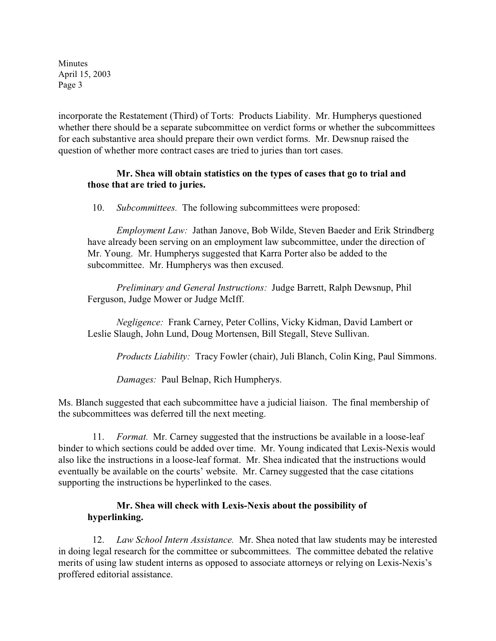Minutes April 15, 2003 Page 3

incorporate the Restatement (Third) of Torts: Products Liability. Mr. Humpherys questioned whether there should be a separate subcommittee on verdict forms or whether the subcommittees for each substantive area should prepare their own verdict forms. Mr. Dewsnup raised the question of whether more contract cases are tried to juries than tort cases.

### **Mr. Shea will obtain statistics on the types of cases that go to trial and those that are tried to juries.**

10. *Subcommittees.* The following subcommittees were proposed:

*Employment Law:* Jathan Janove, Bob Wilde, Steven Baeder and Erik Strindberg have already been serving on an employment law subcommittee, under the direction of Mr. Young. Mr. Humpherys suggested that Karra Porter also be added to the subcommittee. Mr. Humpherys was then excused.

*Preliminary and General Instructions:* Judge Barrett, Ralph Dewsnup, Phil Ferguson, Judge Mower or Judge McIff.

*Negligence:* Frank Carney, Peter Collins, Vicky Kidman, David Lambert or Leslie Slaugh, John Lund, Doug Mortensen, Bill Stegall, Steve Sullivan.

*Products Liability:* Tracy Fowler (chair), Juli Blanch, Colin King, Paul Simmons.

*Damages:* Paul Belnap, Rich Humpherys.

Ms. Blanch suggested that each subcommittee have a judicial liaison. The final membership of the subcommittees was deferred till the next meeting.

 11. *Format.* Mr. Carney suggested that the instructions be available in a loose-leaf binder to which sections could be added over time. Mr. Young indicated that Lexis-Nexis would also like the instructions in a loose-leaf format. Mr. Shea indicated that the instructions would eventually be available on the courts' website. Mr. Carney suggested that the case citations supporting the instructions be hyperlinked to the cases.

# **Mr. Shea will check with Lexis-Nexis about the possibility of hyperlinking.**

 12. *Law School Intern Assistance.* Mr. Shea noted that law students may be interested in doing legal research for the committee or subcommittees. The committee debated the relative merits of using law student interns as opposed to associate attorneys or relying on Lexis-Nexis's proffered editorial assistance.